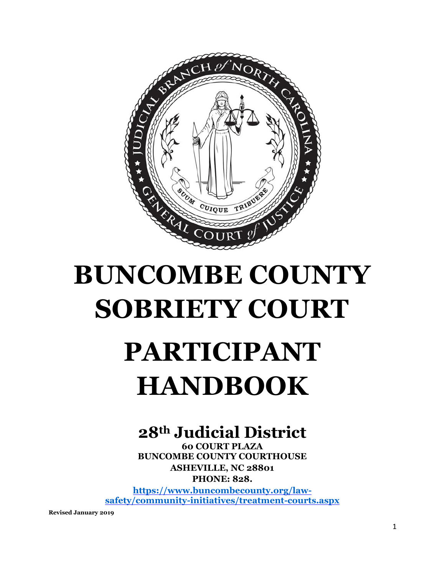

# **BUNCOMBE COUNTY SOBRIETY COURT**

# **PARTICIPANT HANDBOOK**

# **28th Judicial District**

**60 COURT PLAZA BUNCOMBE COUNTY COURTHOUSE ASHEVILLE, NC 28801 PHONE: 828.**

**[https://www.buncombecounty.org/law](https://www.buncombecounty.org/law-safety/community-initiatives/treatment-courts.aspx)[safety/community-initiatives/treatment-courts.aspx](https://www.buncombecounty.org/law-safety/community-initiatives/treatment-courts.aspx)**

**Revised January 2019**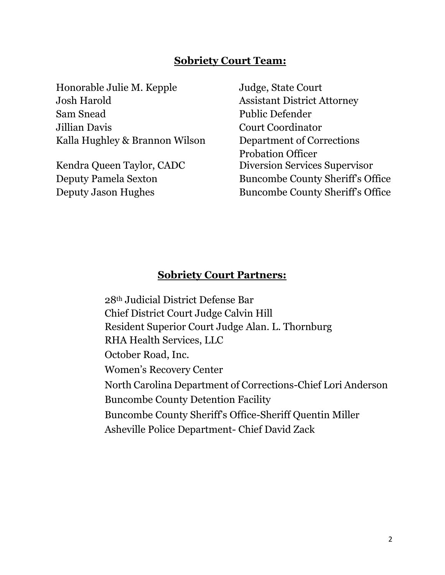### **Sobriety Court Team:**

Honorable Julie M. Kepple Judge, State Court Josh Harold Assistant District Attorney Sam Snead Public Defender Jillian Davis Court Coordinator Kalla Hughley & Brannon Wilson Department of Corrections

Probation Officer Kendra Queen Taylor, CADC Diversion Services Supervisor Deputy Pamela Sexton Buncombe County Sheriff's Office Deputy Jason Hughes Buncombe County Sheriff's Office

### **Sobriety Court Partners:**

28th Judicial District Defense Bar Chief District Court Judge Calvin Hill Resident Superior Court Judge Alan. L. Thornburg RHA Health Services, LLC October Road, Inc. Women's Recovery Center North Carolina Department of Corrections-Chief Lori Anderson Buncombe County Detention Facility Buncombe County Sheriff's Office-Sheriff Quentin Miller Asheville Police Department- Chief David Zack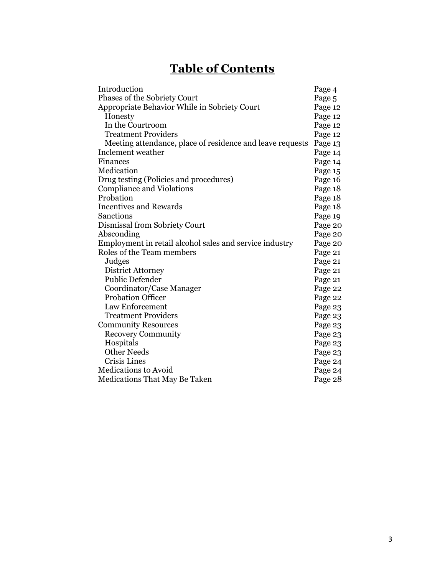# **Table of Contents**

| Introduction                                              | Page 4  |
|-----------------------------------------------------------|---------|
| Phases of the Sobriety Court                              | Page 5  |
| Appropriate Behavior While in Sobriety Court              | Page 12 |
| Honesty                                                   | Page 12 |
| In the Courtroom                                          | Page 12 |
| <b>Treatment Providers</b>                                | Page 12 |
| Meeting attendance, place of residence and leave requests | Page 13 |
| Inclement weather                                         | Page 14 |
| Finances                                                  | Page 14 |
| Medication                                                | Page 15 |
| Drug testing (Policies and procedures)                    | Page 16 |
| <b>Compliance and Violations</b>                          | Page 18 |
| Probation                                                 | Page 18 |
| <b>Incentives and Rewards</b>                             | Page 18 |
| Sanctions                                                 | Page 19 |
| Dismissal from Sobriety Court                             | Page 20 |
| Absconding                                                | Page 20 |
| Employment in retail alcohol sales and service industry   | Page 20 |
| Roles of the Team members                                 | Page 21 |
| Judges                                                    | Page 21 |
| District Attorney                                         | Page 21 |
| <b>Public Defender</b>                                    | Page 21 |
| Coordinator/Case Manager                                  | Page 22 |
| <b>Probation Officer</b>                                  | Page 22 |
| Law Enforcement                                           | Page 23 |
| <b>Treatment Providers</b>                                | Page 23 |
| <b>Community Resources</b>                                | Page 23 |
| <b>Recovery Community</b>                                 | Page 23 |
| Hospitals                                                 | Page 23 |
| <b>Other Needs</b>                                        | Page 23 |
| Crisis Lines                                              | Page 24 |
| <b>Medications to Avoid</b>                               | Page 24 |
| <b>Medications That May Be Taken</b>                      | Page 28 |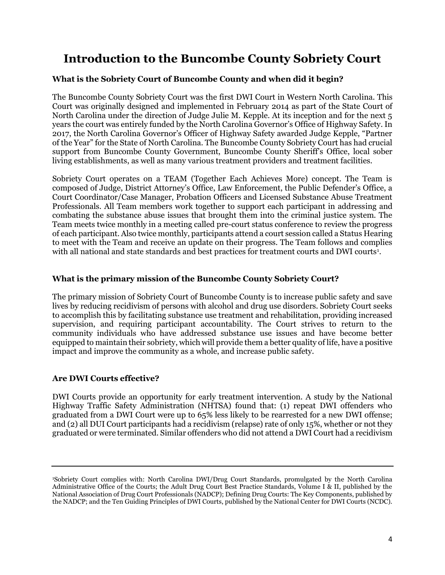# **Introduction to the Buncombe County Sobriety Court**

### **What is the Sobriety Court of Buncombe County and when did it begin?**

The Buncombe County Sobriety Court was the first DWI Court in Western North Carolina. This Court was originally designed and implemented in February 2014 as part of the State Court of North Carolina under the direction of Judge Julie M. Kepple. At its inception and for the next 5 years the court was entirely funded by the North Carolina Governor's Office of Highway Safety. In 2017, the North Carolina Governor's Officer of Highway Safety awarded Judge Kepple, "Partner of the Year" for the State of North Carolina. The Buncombe County Sobriety Court has had crucial support from Buncombe County Government, Buncombe County Sheriff's Office, local sober living establishments, as well as many various treatment providers and treatment facilities.

Sobriety Court operates on a TEAM (Together Each Achieves More) concept. The Team is composed of Judge, District Attorney's Office, Law Enforcement, the Public Defender's Office, a Court Coordinator/Case Manager, Probation Officers and Licensed Substance Abuse Treatment Professionals. All Team members work together to support each participant in addressing and combating the substance abuse issues that brought them into the criminal justice system. The Team meets twice monthly in a meeting called pre-court status conference to review the progress of each participant. Also twice monthly, participants attend a court session called a Status Hearing to meet with the Team and receive an update on their progress. The Team follows and complies with all national and state standards and best practices for treatment courts and DWI courts<sup>1</sup>.

### **What is the primary mission of the Buncombe County Sobriety Court?**

The primary mission of Sobriety Court of Buncombe County is to increase public safety and save lives by reducing recidivism of persons with alcohol and drug use disorders. Sobriety Court seeks to accomplish this by facilitating substance use treatment and rehabilitation, providing increased supervision, and requiring participant accountability. The Court strives to return to the community individuals who have addressed substance use issues and have become better equipped to maintain their sobriety, which will provide them a better quality of life, have a positive impact and improve the community as a whole, and increase public safety.

### **Are DWI Courts effective?**

DWI Courts provide an opportunity for early treatment intervention. A study by the National Highway Traffic Safety Administration (NHTSA) found that: (1) repeat DWI offenders who graduated from a DWI Court were up to 65% less likely to be rearrested for a new DWI offense; and (2) all DUI Court participants had a recidivism (relapse) rate of only 15%, whether or not they graduated or were terminated. Similar offenders who did not attend a DWI Court had a recidivism

<sup>1</sup>Sobriety Court complies with: North Carolina DWI/Drug Court Standards, promulgated by the North Carolina Administrative Office of the Courts; the Adult Drug Court Best Practice Standards, Volume I & II, published by the National Association of Drug Court Professionals (NADCP); Defining Drug Courts: The Key Components, published by the NADCP; and the Ten Guiding Principles of DWI Courts, published by the National Center for DWI Courts (NCDC).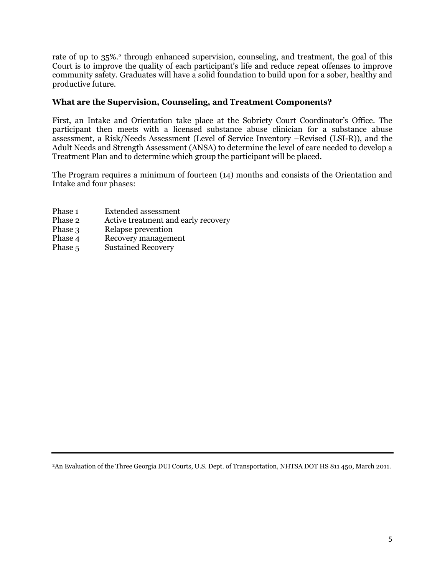rate of up to 35%.<sup>2</sup> through enhanced supervision, counseling, and treatment, the goal of this Court is to improve the quality of each participant's life and reduce repeat offenses to improve community safety. Graduates will have a solid foundation to build upon for a sober, healthy and productive future.

### **What are the Supervision, Counseling, and Treatment Components?**

First, an Intake and Orientation take place at the Sobriety Court Coordinator's Office. The participant then meets with a licensed substance abuse clinician for a substance abuse assessment, a Risk/Needs Assessment (Level of Service Inventory –Revised (LSI-R)), and the Adult Needs and Strength Assessment (ANSA) to determine the level of care needed to develop a Treatment Plan and to determine which group the participant will be placed.

The Program requires a minimum of fourteen (14) months and consists of the Orientation and Intake and four phases:

- Phase 1 Extended assessment
- Phase 2 Active treatment and early recovery
- Phase 3 Relapse prevention
- Phase 4 Recovery management
- Phase 5 Sustained Recovery

2An Evaluation of the Three Georgia DUI Courts, U.S. Dept. of Transportation, NHTSA DOT HS 811 450, March 2011.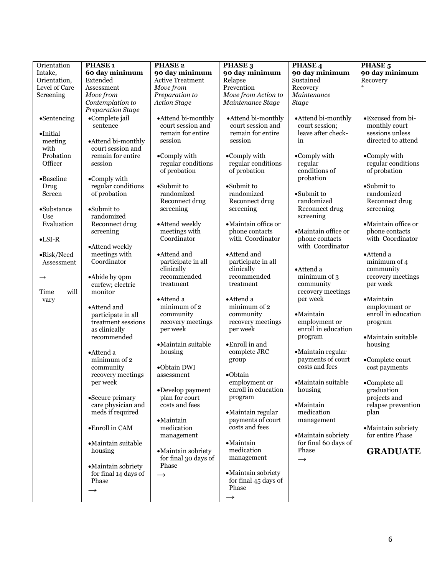| Orientation          | PHASE <sub>1</sub>                      | <b>PHASE 2</b>                         | PHASE <sub>3</sub>                     | PHASE <sub>4</sub>                    | PHASE <sub>5</sub>                 |
|----------------------|-----------------------------------------|----------------------------------------|----------------------------------------|---------------------------------------|------------------------------------|
| Intake,              | 60 day minimum                          | 90 day minimum                         | 90 day minimum                         | 90 day minimum                        | 90 day minimum                     |
| Orientation,         | Extended                                | <b>Active Treatment</b>                | Relapse                                | Sustained                             | Recovery                           |
| Level of Care        | Assessment                              | Move from                              | Prevention                             | Recovery                              |                                    |
| Screening            | Move from                               | Preparation to                         | Move from Action to                    | Maintenance                           |                                    |
|                      | Contemplation to                        | <b>Action Stage</b>                    | Maintenance Stage                      | <b>Stage</b>                          |                                    |
|                      | Preparation Stage                       |                                        |                                        |                                       |                                    |
| $\bullet$ Sentencing | •Complete jail                          | •Attend bi-monthly                     | • Attend bi-monthly                    | •Attend bi-monthly                    | •Excused from bi-                  |
|                      | sentence                                | court session and<br>remain for entire | court session and<br>remain for entire | court session;<br>leave after check-  | monthly court<br>sessions unless   |
| $\bullet$ Initial    |                                         | session                                | session                                | in                                    | directed to attend                 |
| meeting<br>with      | •Attend bi-monthly<br>court session and |                                        |                                        |                                       |                                    |
| Probation            | remain for entire                       | •Comply with                           | •Comply with                           | •Comply with                          | •Comply with                       |
| Officer              | session                                 | regular conditions                     | regular conditions                     | regular                               | regular conditions                 |
|                      |                                         | of probation                           | of probation                           | conditions of                         | of probation                       |
| •Baseline            | $\bullet$ Comply with                   |                                        |                                        | probation                             |                                    |
| Drug                 | regular conditions                      | •Submit to                             | •Submit to                             |                                       | •Submit to                         |
| Screen               | of probation                            | randomized                             | randomized                             | •Submit to                            | randomized                         |
|                      |                                         | Reconnect drug                         | Reconnect drug                         | randomized                            | Reconnect drug                     |
| $\bullet$ Substance  | •Submit to                              | screening                              | screening                              | Reconnect drug                        | screening                          |
| Use                  | randomized                              |                                        |                                        | screening                             |                                    |
| Evaluation           | Reconnect drug                          | •Attend weekly                         | • Maintain office or                   |                                       | ·Maintain office or                |
|                      | screening                               | meetings with<br>Coordinator           | phone contacts<br>with Coordinator     | ·Maintain office or<br>phone contacts | phone contacts<br>with Coordinator |
| $\bullet$ LSI-R      | •Attend weekly                          |                                        |                                        | with Coordinator                      |                                    |
| •Risk/Need           | meetings with                           | •Attend and                            | •Attend and                            |                                       | •Attend a                          |
| Assessment           | Coordinator                             | participate in all                     | participate in all                     |                                       | minimum of 4                       |
|                      |                                         | clinically                             | clinically                             | •Attend a                             | community                          |
| $\rightarrow$        | •Abide by 9pm                           | recommended                            | recommended                            | minimum of 3                          | recovery meetings                  |
|                      | curfew; electric                        | treatment                              | treatment                              | community                             | per week                           |
| will<br>Time         | monitor                                 |                                        |                                        | recovery meetings                     |                                    |
| vary                 |                                         | •Attend a                              | •Attend a                              | per week                              | ·Maintain                          |
|                      | •Attend and                             | minimum of 2                           | minimum of 2                           |                                       | employment or                      |
|                      | participate in all                      | community                              | community                              | $\bullet$ Maintain                    | enroll in education                |
|                      | treatment sessions                      | recovery meetings<br>per week          | recovery meetings<br>per week          | employment or<br>enroll in education  | program                            |
|                      | as clinically<br>recommended            |                                        |                                        | program                               | • Maintain suitable                |
|                      |                                         | •Maintain suitable                     | •Enroll in and                         |                                       | housing                            |
|                      | •Attend a                               | housing                                | complete JRC                           | •Maintain regular                     |                                    |
|                      | minimum of 2                            |                                        | group                                  | payments of court                     | •Complete court                    |
|                      | community                               | •Obtain DWI                            |                                        | costs and fees                        | cost payments                      |
|                      | recovery meetings                       | assessment                             | ·Obtain                                |                                       |                                    |
|                      | per week                                |                                        | employment or                          | •Maintain suitable                    | •Complete all                      |
|                      |                                         | •Develop payment                       | enroll in education                    | housing                               | graduation                         |
|                      | •Secure primary                         | plan for court                         | program                                |                                       | projects and                       |
|                      | care physician and                      | costs and fees                         |                                        | •Maintain                             | relapse prevention                 |
|                      | meds if required                        |                                        | ·Maintain regular                      | medication                            | plan                               |
|                      | •Enroll in CAM                          | •Maintain<br>medication                | payments of court<br>costs and fees    | management                            | ·Maintain sobriety                 |
|                      |                                         | management                             |                                        | ·Maintain sobriety                    | for entire Phase                   |
|                      | • Maintain suitable                     |                                        | •Maintain                              | for final 60 days of                  |                                    |
|                      | housing                                 | ·Maintain sobriety                     | medication                             | Phase                                 | <b>GRADUATE</b>                    |
|                      |                                         | for final 30 days of                   | management                             | $\rightarrow$                         |                                    |
|                      | ·Maintain sobriety                      | Phase                                  |                                        |                                       |                                    |
|                      | for final 14 days of                    | $\rightarrow$                          | ·Maintain sobriety                     |                                       |                                    |
|                      | Phase                                   |                                        | for final 45 days of                   |                                       |                                    |
|                      | $\rightarrow$                           |                                        | Phase                                  |                                       |                                    |
|                      |                                         |                                        | $\rightarrow$                          |                                       |                                    |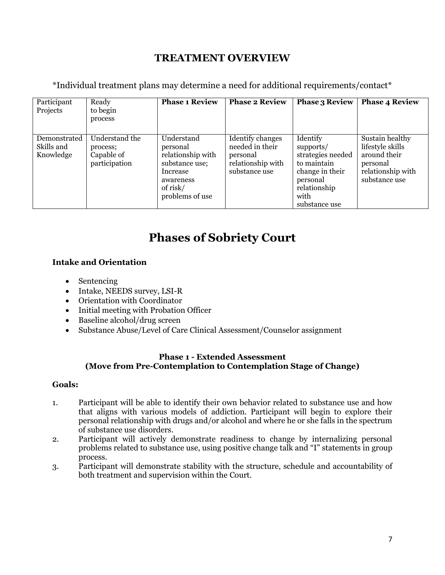### **TREATMENT OVERVIEW**

\*Individual treatment plans may determine a need for additional requirements/contact\*

| Participant<br>Projects                 | Ready<br>to begin<br>process                              | <b>Phase 1 Review</b>                                                                                                 | <b>Phase 2 Review</b>                                                                 | <b>Phase 3 Review</b>                                                                                                             | <b>Phase 4 Review</b>                                                                                 |
|-----------------------------------------|-----------------------------------------------------------|-----------------------------------------------------------------------------------------------------------------------|---------------------------------------------------------------------------------------|-----------------------------------------------------------------------------------------------------------------------------------|-------------------------------------------------------------------------------------------------------|
| Demonstrated<br>Skills and<br>Knowledge | Understand the<br>process;<br>Capable of<br>participation | Understand<br>personal<br>relationship with<br>substance use;<br>Increase<br>awareness<br>of risk/<br>problems of use | Identify changes<br>needed in their<br>personal<br>relationship with<br>substance use | Identify<br>supports/<br>strategies needed<br>to maintain<br>change in their<br>personal<br>relationship<br>with<br>substance use | Sustain healthy<br>lifestyle skills<br>around their<br>personal<br>relationship with<br>substance use |

# **Phases of Sobriety Court**

### **Intake and Orientation**

- Sentencing
- Intake, NEEDS survey, LSI-R
- Orientation with Coordinator
- Initial meeting with Probation Officer
- Baseline alcohol/drug screen
- Substance Abuse/Level of Care Clinical Assessment/Counselor assignment

#### **Phase 1 - Extended Assessment (Move from Pre-Contemplation to Contemplation Stage of Change)**

#### **Goals:**

- 1. Participant will be able to identify their own behavior related to substance use and how that aligns with various models of addiction. Participant will begin to explore their personal relationship with drugs and/or alcohol and where he or she falls in the spectrum of substance use disorders.
- 2. Participant will actively demonstrate readiness to change by internalizing personal problems related to substance use, using positive change talk and "I" statements in group process.
- 3. Participant will demonstrate stability with the structure, schedule and accountability of both treatment and supervision within the Court.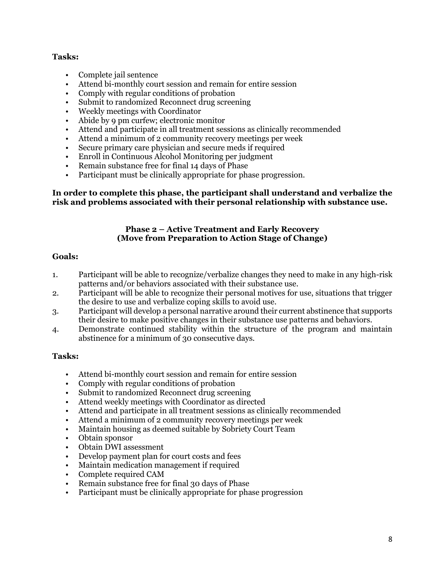### **Tasks:**

- Complete jail sentence
- Attend bi-monthly court session and remain for entire session
- Comply with regular conditions of probation
- Submit to randomized Reconnect drug screening
- Weekly meetings with Coordinator
- Abide by 9 pm curfew; electronic monitor
- Attend and participate in all treatment sessions as clinically recommended
- Attend a minimum of 2 community recovery meetings per week
- Secure primary care physician and secure meds if required
- Enroll in Continuous Alcohol Monitoring per judgment
- Remain substance free for final 14 days of Phase
- Participant must be clinically appropriate for phase progression.

#### **In order to complete this phase, the participant shall understand and verbalize the risk and problems associated with their personal relationship with substance use.**

### **Phase 2 – Active Treatment and Early Recovery (Move from Preparation to Action Stage of Change)**

### **Goals:**

- 1. Participant will be able to recognize/verbalize changes they need to make in any high-risk patterns and/or behaviors associated with their substance use.
- 2. Participant will be able to recognize their personal motives for use, situations that trigger the desire to use and verbalize coping skills to avoid use.
- 3. Participant will develop a personal narrative around their current abstinence that supports their desire to make positive changes in their substance use patterns and behaviors.
- 4. Demonstrate continued stability within the structure of the program and maintain abstinence for a minimum of 30 consecutive days.

### **Tasks:**

- Attend bi-monthly court session and remain for entire session
- Comply with regular conditions of probation
- Submit to randomized Reconnect drug screening
- Attend weekly meetings with Coordinator as directed
- Attend and participate in all treatment sessions as clinically recommended
- Attend a minimum of 2 community recovery meetings per week
- Maintain housing as deemed suitable by Sobriety Court Team
- Obtain sponsor
- Obtain DWI assessment
- Develop payment plan for court costs and fees
- Maintain medication management if required
- Complete required CAM
- Remain substance free for final 30 days of Phase
- Participant must be clinically appropriate for phase progression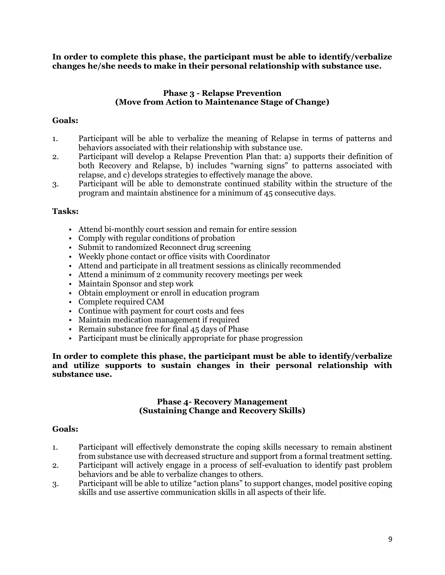**In order to complete this phase, the participant must be able to identify/verbalize changes he/she needs to make in their personal relationship with substance use.**

#### **Phase 3 - Relapse Prevention (Move from Action to Maintenance Stage of Change)**

### **Goals:**

- 1. Participant will be able to verbalize the meaning of Relapse in terms of patterns and behaviors associated with their relationship with substance use.
- 2. Participant will develop a Relapse Prevention Plan that: a) supports their definition of both Recovery and Relapse, b) includes "warning signs" to patterns associated with relapse, and c) develops strategies to effectively manage the above.
- 3. Participant will be able to demonstrate continued stability within the structure of the program and maintain abstinence for a minimum of 45 consecutive days.

#### **Tasks:**

- Attend bi-monthly court session and remain for entire session
- Comply with regular conditions of probation
- Submit to randomized Reconnect drug screening
- Weekly phone contact or office visits with Coordinator
- Attend and participate in all treatment sessions as clinically recommended
- Attend a minimum of 2 community recovery meetings per week
- Maintain Sponsor and step work
- Obtain employment or enroll in education program
- Complete required CAM
- Continue with payment for court costs and fees
- Maintain medication management if required
- Remain substance free for final 45 days of Phase
- Participant must be clinically appropriate for phase progression

**In order to complete this phase, the participant must be able to identify/verbalize and utilize supports to sustain changes in their personal relationship with substance use.**

#### **Phase 4- Recovery Management (Sustaining Change and Recovery Skills)**

#### **Goals:**

- 1. Participant will effectively demonstrate the coping skills necessary to remain abstinent from substance use with decreased structure and support from a formal treatment setting.
- 2. Participant will actively engage in a process of self-evaluation to identify past problem behaviors and be able to verbalize changes to others.
- 3. Participant will be able to utilize "action plans" to support changes, model positive coping skills and use assertive communication skills in all aspects of their life.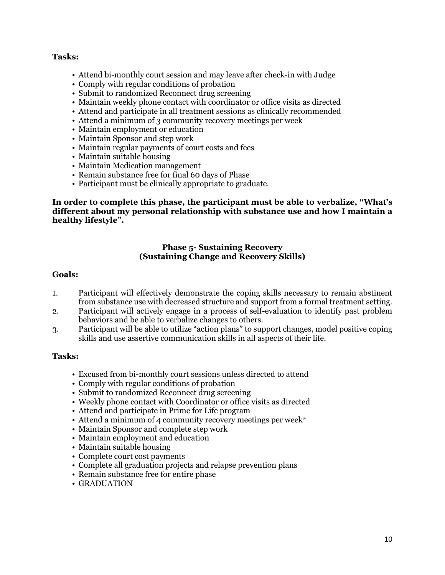#### **Tasks:**

- Attend bi-monthly court session and may leave after check-in with Judge
- Comply with regular conditions of probation
- Submit to randomized Reconnect drug screening
- Maintain weekly phone contact with coordinator or office visits as directed
- Attend and participate in all treatment sessions as clinically recommended
- Attend a minimum of 3 community recovery meetings per week
- Maintain employment or education
- Maintain Sponsor and step work
- Maintain regular payments of court costs and fees
- Maintain suitable housing
- Maintain Medication management
- Remain substance free for final 60 days of Phase
- Participant must be clinically appropriate to graduate.

**In order to complete this phase, the participant must be able to verbalize, "What's different about my personal relationship with substance use and how I maintain a healthy lifestyle".**

#### **Phase 5- Sustaining Recovery (Sustaining Change and Recovery Skills)**

#### **Goals:**

- 1. Participant will effectively demonstrate the coping skills necessary to remain abstinent from substance use with decreased structure and support from a formal treatment setting.
- 2. Participant will actively engage in a process of self-evaluation to identify past problem behaviors and be able to verbalize changes to others.
- 3. Participant will be able to utilize "action plans" to support changes, model positive coping skills and use assertive communication skills in all aspects of their life.

#### **Tasks:**

- Excused from bi-monthly court sessions unless directed to attend
- Comply with regular conditions of probation
- Submit to randomized Reconnect drug screening
- Weekly phone contact with Coordinator or office visits as directed
- Attend and participate in Prime for Life program
- Attend a minimum of 4 community recovery meetings per week\*
- Maintain Sponsor and complete step work
- Maintain employment and education
- Maintain suitable housing
- Complete court cost payments
- Complete all graduation projects and relapse prevention plans
- Remain substance free for entire phase
- GRADUATION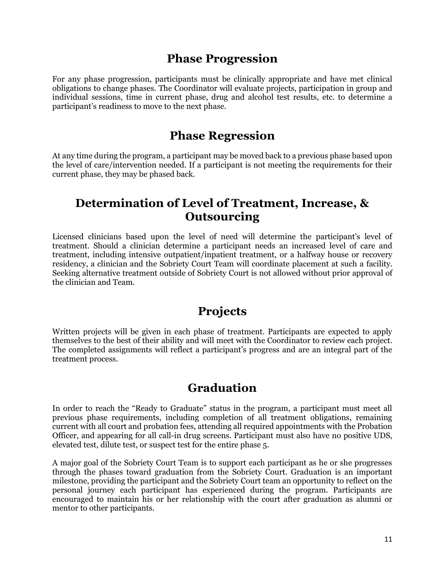### **Phase Progression**

For any phase progression, participants must be clinically appropriate and have met clinical obligations to change phases. The Coordinator will evaluate projects, participation in group and individual sessions, time in current phase, drug and alcohol test results, etc. to determine a participant's readiness to move to the next phase.

### **Phase Regression**

At any time during the program, a participant may be moved back to a previous phase based upon the level of care/intervention needed. If a participant is not meeting the requirements for their current phase, they may be phased back.

### **Determination of Level of Treatment, Increase, & Outsourcing**

Licensed clinicians based upon the level of need will determine the participant's level of treatment. Should a clinician determine a participant needs an increased level of care and treatment, including intensive outpatient/inpatient treatment, or a halfway house or recovery residency, a clinician and the Sobriety Court Team will coordinate placement at such a facility. Seeking alternative treatment outside of Sobriety Court is not allowed without prior approval of the clinician and Team.

### **Projects**

Written projects will be given in each phase of treatment. Participants are expected to apply themselves to the best of their ability and will meet with the Coordinator to review each project. The completed assignments will reflect a participant's progress and are an integral part of the treatment process.

### **Graduation**

In order to reach the "Ready to Graduate" status in the program, a participant must meet all previous phase requirements, including completion of all treatment obligations, remaining current with all court and probation fees, attending all required appointments with the Probation Officer, and appearing for all call-in drug screens. Participant must also have no positive UDS, elevated test, dilute test, or suspect test for the entire phase 5.

A major goal of the Sobriety Court Team is to support each participant as he or she progresses through the phases toward graduation from the Sobriety Court. Graduation is an important milestone, providing the participant and the Sobriety Court team an opportunity to reflect on the personal journey each participant has experienced during the program. Participants are encouraged to maintain his or her relationship with the court after graduation as alumni or mentor to other participants.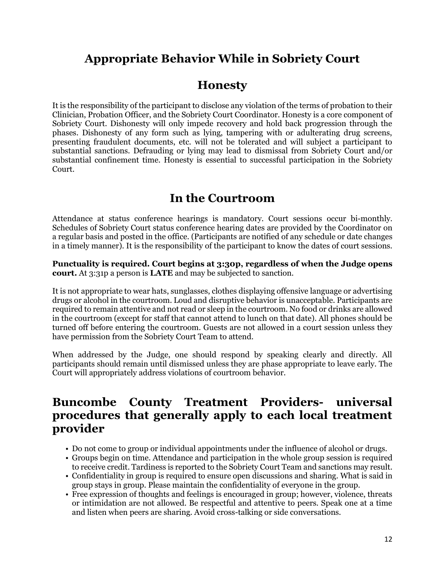# **Appropriate Behavior While in Sobriety Court**

### **Honesty**

It is the responsibility of the participant to disclose any violation of the terms of probation to their Clinician, Probation Officer, and the Sobriety Court Coordinator. Honesty is a core component of Sobriety Court. Dishonesty will only impede recovery and hold back progression through the phases. Dishonesty of any form such as lying, tampering with or adulterating drug screens, presenting fraudulent documents, etc. will not be tolerated and will subject a participant to substantial sanctions. Defrauding or lying may lead to dismissal from Sobriety Court and/or substantial confinement time. Honesty is essential to successful participation in the Sobriety Court.

## **In the Courtroom**

Attendance at status conference hearings is mandatory. Court sessions occur bi-monthly. Schedules of Sobriety Court status conference hearing dates are provided by the Coordinator on a regular basis and posted in the office. (Participants are notified of any schedule or date changes in a timely manner). It is the responsibility of the participant to know the dates of court sessions.

#### **Punctuality is required. Court begins at 3:30p, regardless of when the Judge opens court.** At 3:31p a person is **LATE** and may be subjected to sanction.

It is not appropriate to wear hats, sunglasses, clothes displaying offensive language or advertising drugs or alcohol in the courtroom. Loud and disruptive behavior is unacceptable. Participants are required to remain attentive and not read or sleep in the courtroom. No food or drinks are allowed in the courtroom (except for staff that cannot attend to lunch on that date). All phones should be turned off before entering the courtroom. Guests are not allowed in a court session unless they have permission from the Sobriety Court Team to attend.

When addressed by the Judge, one should respond by speaking clearly and directly. All participants should remain until dismissed unless they are phase appropriate to leave early. The Court will appropriately address violations of courtroom behavior.

### **Buncombe County Treatment Providers- universal procedures that generally apply to each local treatment provider**

- Do not come to group or individual appointments under the influence of alcohol or drugs.
- Groups begin on time. Attendance and participation in the whole group session is required to receive credit. Tardiness is reported to the Sobriety Court Team and sanctions may result.
- Confidentiality in group is required to ensure open discussions and sharing. What is said in group stays in group. Please maintain the confidentiality of everyone in the group.
- Free expression of thoughts and feelings is encouraged in group; however, violence, threats or intimidation are not allowed. Be respectful and attentive to peers. Speak one at a time and listen when peers are sharing. Avoid cross-talking or side conversations.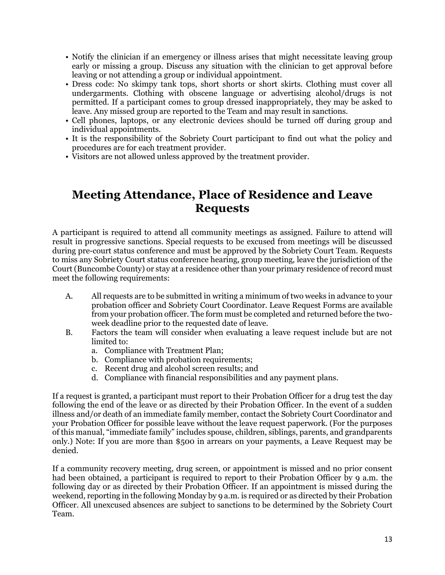- Notify the clinician if an emergency or illness arises that might necessitate leaving group early or missing a group. Discuss any situation with the clinician to get approval before leaving or not attending a group or individual appointment.
- Dress code: No skimpy tank tops, short shorts or short skirts. Clothing must cover all undergarments. Clothing with obscene language or advertising alcohol/drugs is not permitted. If a participant comes to group dressed inappropriately, they may be asked to leave. Any missed group are reported to the Team and may result in sanctions.
- Cell phones, laptops, or any electronic devices should be turned off during group and individual appointments.
- It is the responsibility of the Sobriety Court participant to find out what the policy and procedures are for each treatment provider.
- Visitors are not allowed unless approved by the treatment provider.

### **Meeting Attendance, Place of Residence and Leave Requests**

A participant is required to attend all community meetings as assigned. Failure to attend will result in progressive sanctions. Special requests to be excused from meetings will be discussed during pre-court status conference and must be approved by the Sobriety Court Team. Requests to miss any Sobriety Court status conference hearing, group meeting, leave the jurisdiction of the Court (Buncombe County) or stay at a residence other than your primary residence of record must meet the following requirements:

- A. All requests are to be submitted in writing a minimum of two weeks in advance to your probation officer and Sobriety Court Coordinator. Leave Request Forms are available from your probation officer. The form must be completed and returned before the twoweek deadline prior to the requested date of leave.
- B. Factors the team will consider when evaluating a leave request include but are not limited to:
	- a. Compliance with Treatment Plan;
	- b. Compliance with probation requirements;
	- c. Recent drug and alcohol screen results; and
	- d. Compliance with financial responsibilities and any payment plans.

If a request is granted, a participant must report to their Probation Officer for a drug test the day following the end of the leave or as directed by their Probation Officer. In the event of a sudden illness and/or death of an immediate family member, contact the Sobriety Court Coordinator and your Probation Officer for possible leave without the leave request paperwork. (For the purposes of this manual, "immediate family" includes spouse, children, siblings, parents, and grandparents only.) Note: If you are more than \$500 in arrears on your payments, a Leave Request may be denied.

If a community recovery meeting, drug screen, or appointment is missed and no prior consent had been obtained, a participant is required to report to their Probation Officer by 9 a.m. the following day or as directed by their Probation Officer. If an appointment is missed during the weekend, reporting in the following Monday by 9 a.m. is required or as directed by their Probation Officer. All unexcused absences are subject to sanctions to be determined by the Sobriety Court Team.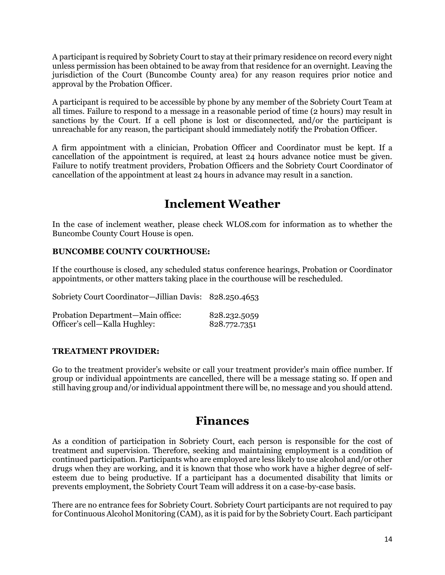A participant is required by Sobriety Court to stay at their primary residence on record every night unless permission has been obtained to be away from that residence for an overnight. Leaving the jurisdiction of the Court (Buncombe County area) for any reason requires prior notice and approval by the Probation Officer.

A participant is required to be accessible by phone by any member of the Sobriety Court Team at all times. Failure to respond to a message in a reasonable period of time (2 hours) may result in sanctions by the Court. If a cell phone is lost or disconnected, and/or the participant is unreachable for any reason, the participant should immediately notify the Probation Officer.

A firm appointment with a clinician, Probation Officer and Coordinator must be kept. If a cancellation of the appointment is required, at least 24 hours advance notice must be given. Failure to notify treatment providers, Probation Officers and the Sobriety Court Coordinator of cancellation of the appointment at least 24 hours in advance may result in a sanction.

## **Inclement Weather**

In the case of inclement weather, please check WLOS.com for information as to whether the Buncombe County Court House is open.

### **BUNCOMBE COUNTY COURTHOUSE:**

If the courthouse is closed, any scheduled status conference hearings, Probation or Coordinator appointments, or other matters taking place in the courthouse will be rescheduled.

Sobriety Court Coordinator—Jillian Davis: 828.250.4653

| Probation Department-Main office: | 828.232.5059 |
|-----------------------------------|--------------|
| Officer's cell-Kalla Hughley:     | 828.772.7351 |

#### **TREATMENT PROVIDER:**

Go to the treatment provider's website or call your treatment provider's main office number. If group or individual appointments are cancelled, there will be a message stating so. If open and still having group and/or individual appointment there will be, no message and you should attend.

### **Finances**

As a condition of participation in Sobriety Court, each person is responsible for the cost of treatment and supervision. Therefore, seeking and maintaining employment is a condition of continued participation. Participants who are employed are less likely to use alcohol and/or other drugs when they are working, and it is known that those who work have a higher degree of selfesteem due to being productive. If a participant has a documented disability that limits or prevents employment, the Sobriety Court Team will address it on a case-by-case basis.

There are no entrance fees for Sobriety Court. Sobriety Court participants are not required to pay for Continuous Alcohol Monitoring (CAM), as it is paid for by the Sobriety Court. Each participant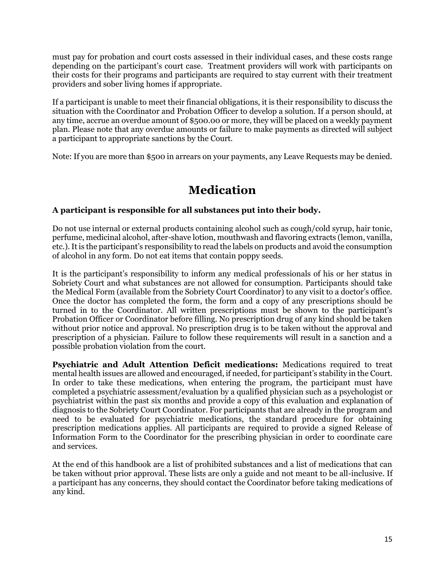must pay for probation and court costs assessed in their individual cases, and these costs range depending on the participant's court case. Treatment providers will work with participants on their costs for their programs and participants are required to stay current with their treatment providers and sober living homes if appropriate.

If a participant is unable to meet their financial obligations, it is their responsibility to discuss the situation with the Coordinator and Probation Officer to develop a solution. If a person should, at any time, accrue an overdue amount of \$500.00 or more, they will be placed on a weekly payment plan. Please note that any overdue amounts or failure to make payments as directed will subject a participant to appropriate sanctions by the Court.

Note: If you are more than \$500 in arrears on your payments, any Leave Requests may be denied.

# **Medication**

### **A participant is responsible for all substances put into their body.**

Do not use internal or external products containing alcohol such as cough/cold syrup, hair tonic, perfume, medicinal alcohol, after-shave lotion, mouthwash and flavoring extracts (lemon, vanilla, etc.). It is the participant's responsibility to read the labels on products and avoid the consumption of alcohol in any form. Do not eat items that contain poppy seeds.

It is the participant's responsibility to inform any medical professionals of his or her status in Sobriety Court and what substances are not allowed for consumption. Participants should take the Medical Form (available from the Sobriety Court Coordinator) to any visit to a doctor's office. Once the doctor has completed the form, the form and a copy of any prescriptions should be turned in to the Coordinator. All written prescriptions must be shown to the participant's Probation Officer or Coordinator before filling. No prescription drug of any kind should be taken without prior notice and approval. No prescription drug is to be taken without the approval and prescription of a physician. Failure to follow these requirements will result in a sanction and a possible probation violation from the court.

**Psychiatric and Adult Attention Deficit medications:** Medications required to treat mental health issues are allowed and encouraged, if needed, for participant's stability in the Court. In order to take these medications, when entering the program, the participant must have completed a psychiatric assessment/evaluation by a qualified physician such as a psychologist or psychiatrist within the past six months and provide a copy of this evaluation and explanation of diagnosis to the Sobriety Court Coordinator. For participants that are already in the program and need to be evaluated for psychiatric medications, the standard procedure for obtaining prescription medications applies. All participants are required to provide a signed Release of Information Form to the Coordinator for the prescribing physician in order to coordinate care and services.

At the end of this handbook are a list of prohibited substances and a list of medications that can be taken without prior approval. These lists are only a guide and not meant to be all-inclusive. If a participant has any concerns, they should contact the Coordinator before taking medications of any kind.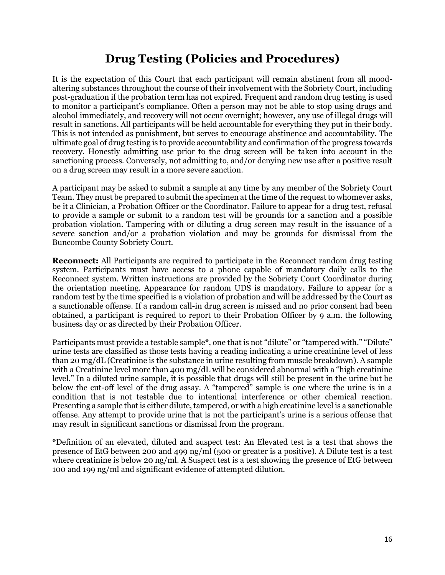# **Drug Testing (Policies and Procedures)**

It is the expectation of this Court that each participant will remain abstinent from all moodaltering substances throughout the course of their involvement with the Sobriety Court, including post-graduation if the probation term has not expired. Frequent and random drug testing is used to monitor a participant's compliance. Often a person may not be able to stop using drugs and alcohol immediately, and recovery will not occur overnight; however, any use of illegal drugs will result in sanctions. All participants will be held accountable for everything they put in their body. This is not intended as punishment, but serves to encourage abstinence and accountability. The ultimate goal of drug testing is to provide accountability and confirmation of the progress towards recovery. Honestly admitting use prior to the drug screen will be taken into account in the sanctioning process. Conversely, not admitting to, and/or denying new use after a positive result on a drug screen may result in a more severe sanction.

A participant may be asked to submit a sample at any time by any member of the Sobriety Court Team. They must be prepared to submit the specimen at the time of the request to whomever asks, be it a Clinician, a Probation Officer or the Coordinator. Failure to appear for a drug test, refusal to provide a sample or submit to a random test will be grounds for a sanction and a possible probation violation. Tampering with or diluting a drug screen may result in the issuance of a severe sanction and/or a probation violation and may be grounds for dismissal from the Buncombe County Sobriety Court.

**Reconnect:** All Participants are required to participate in the Reconnect random drug testing system. Participants must have access to a phone capable of mandatory daily calls to the Reconnect system. Written instructions are provided by the Sobriety Court Coordinator during the orientation meeting. Appearance for random UDS is mandatory. Failure to appear for a random test by the time specified is a violation of probation and will be addressed by the Court as a sanctionable offense. If a random call-in drug screen is missed and no prior consent had been obtained, a participant is required to report to their Probation Officer by 9 a.m. the following business day or as directed by their Probation Officer.

Participants must provide a testable sample\*, one that is not "dilute" or "tampered with." "Dilute" urine tests are classified as those tests having a reading indicating a urine creatinine level of less than 20 mg/dL (Creatinine is the substance in urine resulting from muscle breakdown). A sample with a Creatinine level more than 400 mg/dL will be considered abnormal with a "high creatinine" level." In a diluted urine sample, it is possible that drugs will still be present in the urine but be below the cut-off level of the drug assay. A "tampered" sample is one where the urine is in a condition that is not testable due to intentional interference or other chemical reaction. Presenting a sample that is either dilute, tampered, or with a high creatinine level is a sanctionable offense. Any attempt to provide urine that is not the participant's urine is a serious offense that may result in significant sanctions or dismissal from the program.

\*Definition of an elevated, diluted and suspect test: An Elevated test is a test that shows the presence of EtG between 200 and 499 ng/ml (500 or greater is a positive). A Dilute test is a test where creatinine is below 20 ng/ml. A Suspect test is a test showing the presence of EtG between 100 and 199 ng/ml and significant evidence of attempted dilution.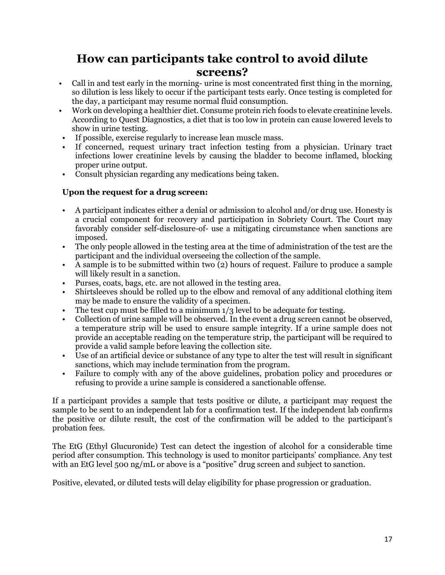# **How can participants take control to avoid dilute screens?**

- Call in and test early in the morning- urine is most concentrated first thing in the morning, so dilution is less likely to occur if the participant tests early. Once testing is completed for the day, a participant may resume normal fluid consumption.
- Work on developing a healthier diet. Consume protein rich foods to elevate creatinine levels. According to Quest Diagnostics, a diet that is too low in protein can cause lowered levels to show in urine testing.
- If possible, exercise regularly to increase lean muscle mass.
- If concerned, request urinary tract infection testing from a physician. Urinary tract infections lower creatinine levels by causing the bladder to become inflamed, blocking proper urine output.
- Consult physician regarding any medications being taken.

### **Upon the request for a drug screen:**

- A participant indicates either a denial or admission to alcohol and/or drug use. Honesty is a crucial component for recovery and participation in Sobriety Court. The Court may favorably consider self-disclosure-of- use a mitigating circumstance when sanctions are imposed.
- The only people allowed in the testing area at the time of administration of the test are the participant and the individual overseeing the collection of the sample.
- A sample is to be submitted within two (2) hours of request. Failure to produce a sample will likely result in a sanction.
- Purses, coats, bags, etc. are not allowed in the testing area.
- Shirtsleeves should be rolled up to the elbow and removal of any additional clothing item may be made to ensure the validity of a specimen.
- The test cup must be filled to a minimum  $1/3$  level to be adequate for testing.
- Collection of urine sample will be observed. In the event a drug screen cannot be observed, a temperature strip will be used to ensure sample integrity. If a urine sample does not provide an acceptable reading on the temperature strip, the participant will be required to provide a valid sample before leaving the collection site.
- Use of an artificial device or substance of any type to alter the test will result in significant sanctions, which may include termination from the program.
- Failure to comply with any of the above guidelines, probation policy and procedures or refusing to provide a urine sample is considered a sanctionable offense.

If a participant provides a sample that tests positive or dilute, a participant may request the sample to be sent to an independent lab for a confirmation test. If the independent lab confirms the positive or dilute result, the cost of the confirmation will be added to the participant's probation fees.

The EtG (Ethyl Glucuronide) Test can detect the ingestion of alcohol for a considerable time period after consumption. This technology is used to monitor participants' compliance. Any test with an EtG level 500 ng/mL or above is a "positive" drug screen and subject to sanction.

Positive, elevated, or diluted tests will delay eligibility for phase progression or graduation.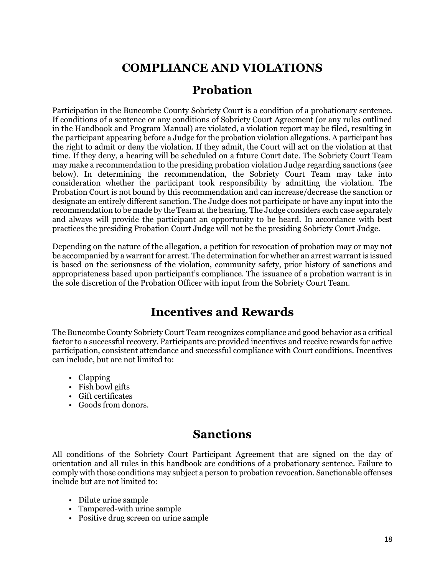# **COMPLIANCE AND VIOLATIONS**

### **Probation**

Participation in the Buncombe County Sobriety Court is a condition of a probationary sentence. If conditions of a sentence or any conditions of Sobriety Court Agreement (or any rules outlined in the Handbook and Program Manual) are violated, a violation report may be filed, resulting in the participant appearing before a Judge for the probation violation allegations. A participant has the right to admit or deny the violation. If they admit, the Court will act on the violation at that time. If they deny, a hearing will be scheduled on a future Court date. The Sobriety Court Team may make a recommendation to the presiding probation violation Judge regarding sanctions (see below). In determining the recommendation, the Sobriety Court Team may take into consideration whether the participant took responsibility by admitting the violation. The Probation Court is not bound by this recommendation and can increase/decrease the sanction or designate an entirely different sanction. The Judge does not participate or have any input into the recommendation to be made by the Team at the hearing. The Judge considers each case separately and always will provide the participant an opportunity to be heard. In accordance with best practices the presiding Probation Court Judge will not be the presiding Sobriety Court Judge.

Depending on the nature of the allegation, a petition for revocation of probation may or may not be accompanied by a warrant for arrest. The determination for whether an arrest warrant is issued is based on the seriousness of the violation, community safety, prior history of sanctions and appropriateness based upon participant's compliance. The issuance of a probation warrant is in the sole discretion of the Probation Officer with input from the Sobriety Court Team.

# **Incentives and Rewards**

The Buncombe County Sobriety Court Team recognizes compliance and good behavior as a critical factor to a successful recovery. Participants are provided incentives and receive rewards for active participation, consistent attendance and successful compliance with Court conditions. Incentives can include, but are not limited to:

- Clapping
- Fish bowl gifts
- Gift certificates
- Goods from donors.

## **Sanctions**

All conditions of the Sobriety Court Participant Agreement that are signed on the day of orientation and all rules in this handbook are conditions of a probationary sentence. Failure to comply with those conditions may subject a person to probation revocation. Sanctionable offenses include but are not limited to:

- Dilute urine sample
- Tampered-with urine sample
- Positive drug screen on urine sample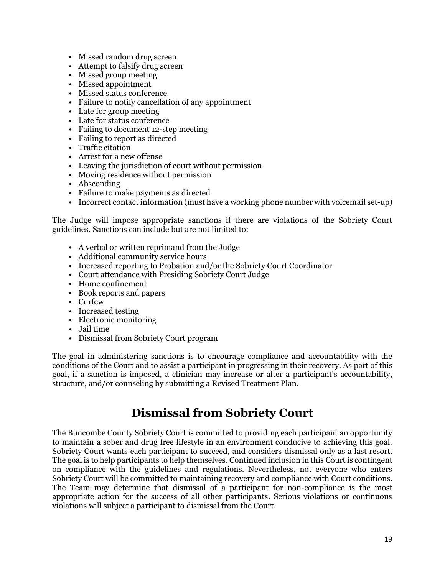- Missed random drug screen
- Attempt to falsify drug screen
- Missed group meeting
- Missed appointment
- Missed status conference
- Failure to notify cancellation of any appointment
- Late for group meeting
- Late for status conference
- Failing to document 12-step meeting
- Failing to report as directed
- Traffic citation
- Arrest for a new offense
- Leaving the jurisdiction of court without permission
- Moving residence without permission
- Absconding
- Failure to make payments as directed
- Incorrect contact information (must have a working phone number with voicemail set-up)

The Judge will impose appropriate sanctions if there are violations of the Sobriety Court guidelines. Sanctions can include but are not limited to:

- A verbal or written reprimand from the Judge
- Additional community service hours
- Increased reporting to Probation and/or the Sobriety Court Coordinator
- Court attendance with Presiding Sobriety Court Judge
- Home confinement
- Book reports and papers
- Curfew
- Increased testing
- Electronic monitoring
- Jail time
- Dismissal from Sobriety Court program

The goal in administering sanctions is to encourage compliance and accountability with the conditions of the Court and to assist a participant in progressing in their recovery. As part of this goal, if a sanction is imposed, a clinician may increase or alter a participant's accountability, structure, and/or counseling by submitting a Revised Treatment Plan.

### **Dismissal from Sobriety Court**

The Buncombe County Sobriety Court is committed to providing each participant an opportunity to maintain a sober and drug free lifestyle in an environment conducive to achieving this goal. Sobriety Court wants each participant to succeed, and considers dismissal only as a last resort. The goal is to help participants to help themselves. Continued inclusion in this Court is contingent on compliance with the guidelines and regulations. Nevertheless, not everyone who enters Sobriety Court will be committed to maintaining recovery and compliance with Court conditions. The Team may determine that dismissal of a participant for non-compliance is the most appropriate action for the success of all other participants. Serious violations or continuous violations will subject a participant to dismissal from the Court.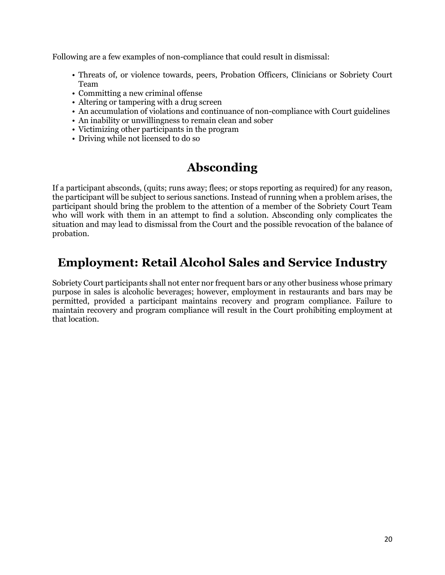Following are a few examples of non-compliance that could result in dismissal:

- Threats of, or violence towards, peers, Probation Officers, Clinicians or Sobriety Court Team
- Committing a new criminal offense
- Altering or tampering with a drug screen
- An accumulation of violations and continuance of non-compliance with Court guidelines
- An inability or unwillingness to remain clean and sober
- Victimizing other participants in the program
- Driving while not licensed to do so

# **Absconding**

If a participant absconds, (quits; runs away; flees; or stops reporting as required) for any reason, the participant will be subject to serious sanctions. Instead of running when a problem arises, the participant should bring the problem to the attention of a member of the Sobriety Court Team who will work with them in an attempt to find a solution. Absconding only complicates the situation and may lead to dismissal from the Court and the possible revocation of the balance of probation.

# **Employment: Retail Alcohol Sales and Service Industry**

Sobriety Court participants shall not enter nor frequent bars or any other business whose primary purpose in sales is alcoholic beverages; however, employment in restaurants and bars may be permitted, provided a participant maintains recovery and program compliance. Failure to maintain recovery and program compliance will result in the Court prohibiting employment at that location.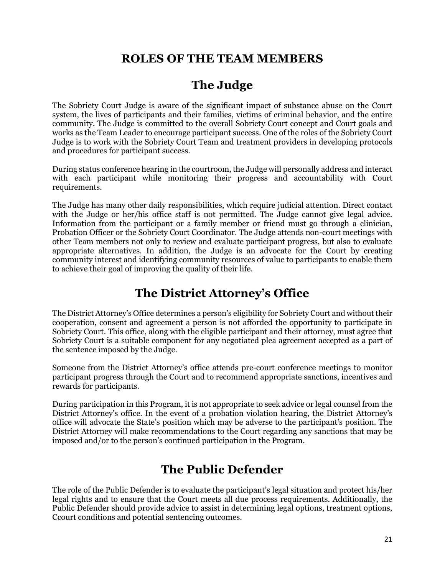# **ROLES OF THE TEAM MEMBERS**

# **The Judge**

The Sobriety Court Judge is aware of the significant impact of substance abuse on the Court system, the lives of participants and their families, victims of criminal behavior, and the entire community. The Judge is committed to the overall Sobriety Court concept and Court goals and works as the Team Leader to encourage participant success. One of the roles of the Sobriety Court Judge is to work with the Sobriety Court Team and treatment providers in developing protocols and procedures for participant success.

During status conference hearing in the courtroom, the Judge will personally address and interact with each participant while monitoring their progress and accountability with Court requirements.

The Judge has many other daily responsibilities, which require judicial attention. Direct contact with the Judge or her/his office staff is not permitted. The Judge cannot give legal advice. Information from the participant or a family member or friend must go through a clinician, Probation Officer or the Sobriety Court Coordinator. The Judge attends non-court meetings with other Team members not only to review and evaluate participant progress, but also to evaluate appropriate alternatives. In addition, the Judge is an advocate for the Court by creating community interest and identifying community resources of value to participants to enable them to achieve their goal of improving the quality of their life.

# **The District Attorney's Office**

The District Attorney's Office determines a person's eligibility for Sobriety Court and without their cooperation, consent and agreement a person is not afforded the opportunity to participate in Sobriety Court. This office, along with the eligible participant and their attorney, must agree that Sobriety Court is a suitable component for any negotiated plea agreement accepted as a part of the sentence imposed by the Judge.

Someone from the District Attorney's office attends pre-court conference meetings to monitor participant progress through the Court and to recommend appropriate sanctions, incentives and rewards for participants.

During participation in this Program, it is not appropriate to seek advice or legal counsel from the District Attorney's office. In the event of a probation violation hearing, the District Attorney's office will advocate the State's position which may be adverse to the participant's position. The District Attorney will make recommendations to the Court regarding any sanctions that may be imposed and/or to the person's continued participation in the Program.

# **The Public Defender**

The role of the Public Defender is to evaluate the participant's legal situation and protect his/her legal rights and to ensure that the Court meets all due process requirements. Additionally, the Public Defender should provide advice to assist in determining legal options, treatment options, Ccourt conditions and potential sentencing outcomes.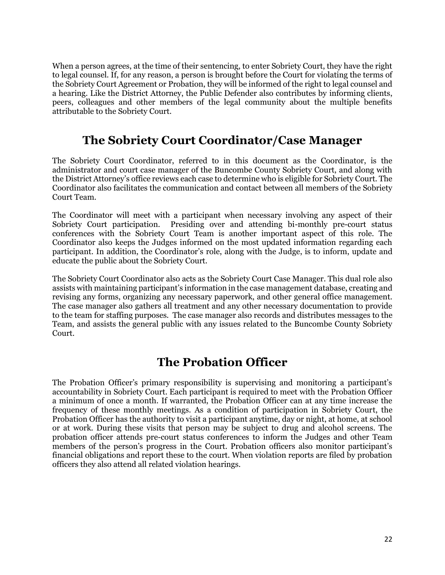When a person agrees, at the time of their sentencing, to enter Sobriety Court, they have the right to legal counsel. If, for any reason, a person is brought before the Court for violating the terms of the Sobriety Court Agreement or Probation, they will be informed of the right to legal counsel and a hearing. Like the District Attorney, the Public Defender also contributes by informing clients, peers, colleagues and other members of the legal community about the multiple benefits attributable to the Sobriety Court.

# **The Sobriety Court Coordinator/Case Manager**

The Sobriety Court Coordinator, referred to in this document as the Coordinator, is the administrator and court case manager of the Buncombe County Sobriety Court, and along with the District Attorney's office reviews each case to determine who is eligible for Sobriety Court. The Coordinator also facilitates the communication and contact between all members of the Sobriety Court Team.

The Coordinator will meet with a participant when necessary involving any aspect of their Sobriety Court participation. Presiding over and attending bi-monthly pre-court status conferences with the Sobriety Court Team is another important aspect of this role. The Coordinator also keeps the Judges informed on the most updated information regarding each participant. In addition, the Coordinator's role, along with the Judge, is to inform, update and educate the public about the Sobriety Court.

The Sobriety Court Coordinator also acts as the Sobriety Court Case Manager. This dual role also assists with maintaining participant's information in the case management database, creating and revising any forms, organizing any necessary paperwork, and other general office management. The case manager also gathers all treatment and any other necessary documentation to provide to the team for staffing purposes. The case manager also records and distributes messages to the Team, and assists the general public with any issues related to the Buncombe County Sobriety Court.

## **The Probation Officer**

The Probation Officer's primary responsibility is supervising and monitoring a participant's accountability in Sobriety Court. Each participant is required to meet with the Probation Officer a minimum of once a month. If warranted, the Probation Officer can at any time increase the frequency of these monthly meetings. As a condition of participation in Sobriety Court, the Probation Officer has the authority to visit a participant anytime, day or night, at home, at school or at work. During these visits that person may be subject to drug and alcohol screens. The probation officer attends pre-court status conferences to inform the Judges and other Team members of the person's progress in the Court. Probation officers also monitor participant's financial obligations and report these to the court. When violation reports are filed by probation officers they also attend all related violation hearings.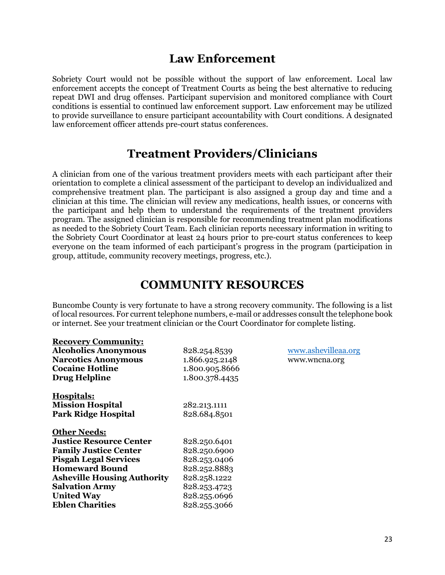### **Law Enforcement**

Sobriety Court would not be possible without the support of law enforcement. Local law enforcement accepts the concept of Treatment Courts as being the best alternative to reducing repeat DWI and drug offenses. Participant supervision and monitored compliance with Court conditions is essential to continued law enforcement support. Law enforcement may be utilized to provide surveillance to ensure participant accountability with Court conditions. A designated law enforcement officer attends pre-court status conferences.

### **Treatment Providers/Clinicians**

A clinician from one of the various treatment providers meets with each participant after their orientation to complete a clinical assessment of the participant to develop an individualized and comprehensive treatment plan. The participant is also assigned a group day and time and a clinician at this time. The clinician will review any medications, health issues, or concerns with the participant and help them to understand the requirements of the treatment providers program. The assigned clinician is responsible for recommending treatment plan modifications as needed to the Sobriety Court Team. Each clinician reports necessary information in writing to the Sobriety Court Coordinator at least 24 hours prior to pre-court status conferences to keep everyone on the team informed of each participant's progress in the program (participation in group, attitude, community recovery meetings, progress, etc.).

### **COMMUNITY RESOURCES**

Buncombe County is very fortunate to have a strong recovery community. The following is a list of local resources. For current telephone numbers, e-mail or addresses consult the telephone book or internet. See your treatment clinician or the Court Coordinator for complete listing.

| <b>Recovery Community:</b>         |                |                     |
|------------------------------------|----------------|---------------------|
| <b>Alcoholics Anonymous</b>        | 828.254.8539   | www.ashevilleaa.org |
| <b>Narcotics Anonymous</b>         | 1.866.925.2148 | www.wncna.org       |
| <b>Cocaine Hotline</b>             | 1.800.905.8666 |                     |
| <b>Drug Helpline</b>               | 1.800.378.4435 |                     |
| <b>Hospitals:</b>                  |                |                     |
| <b>Mission Hospital</b>            | 282.213.1111   |                     |
| <b>Park Ridge Hospital</b>         | 828.684.8501   |                     |
| <b>Other Needs:</b>                |                |                     |
| <b>Justice Resource Center</b>     | 828.250.6401   |                     |
| <b>Family Justice Center</b>       | 828.250.6900   |                     |
| <b>Pisgah Legal Services</b>       | 828.253.0406   |                     |
| <b>Homeward Bound</b>              | 828.252.8883   |                     |
| <b>Asheville Housing Authority</b> | 828.258.1222   |                     |
| <b>Salvation Army</b>              | 828.253.4723   |                     |
| <b>United Way</b>                  | 828.255.0696   |                     |
| <b>Eblen Charities</b>             | 828.255.3066   |                     |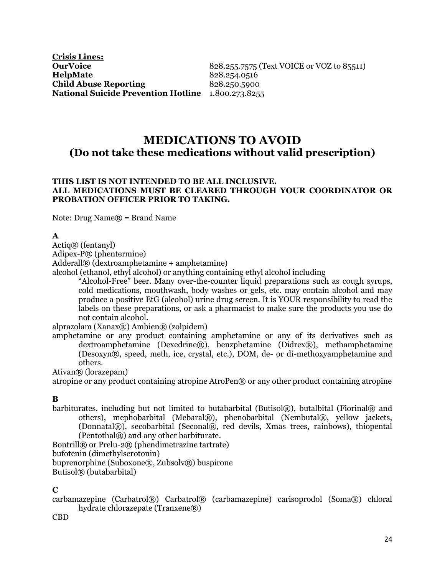### **MEDICATIONS TO AVOID (Do not take these medications without valid prescription)**

#### **THIS LIST IS NOT INTENDED TO BE ALL INCLUSIVE. ALL MEDICATIONS MUST BE CLEARED THROUGH YOUR COORDINATOR OR PROBATION OFFICER PRIOR TO TAKING.**

Note: Drug Name $\mathbb{R}$  = Brand Name

#### **A**

#### Actiq® (fentanyl)

Adipex-P® (phentermine)

Adderall® (dextroamphetamine + amphetamine)

alcohol (ethanol, ethyl alcohol) or anything containing ethyl alcohol including

"Alcohol-Free" beer. Many over-the-counter liquid preparations such as cough syrups, cold medications, mouthwash, body washes or gels, etc. may contain alcohol and may produce a positive EtG (alcohol) urine drug screen. It is YOUR responsibility to read the labels on these preparations, or ask a pharmacist to make sure the products you use do not contain alcohol.

alprazolam (Xanax®) Ambien® (zolpidem)

amphetamine or any product containing amphetamine or any of its derivatives such as dextroamphetamine (Dexedrine®), benzphetamine (Didrex®), methamphetamine (Desoxyn®, speed, meth, ice, crystal, etc.), DOM, de- or di-methoxyamphetamine and others.

Ativan® (lorazepam)

atropine or any product containing atropine AtroPen® or any other product containing atropine

#### **B**

barbiturates, including but not limited to butabarbital (Butisol®), butalbital (Fiorinal® and others), mephobarbital (Mebaral®), phenobarbital (Nembutal®, yellow jackets, (Donnatal®), secobarbital (Seconal®, red devils, Xmas trees, rainbows), thiopental (Pentothal®) and any other barbiturate.

Bontrill® or Prelu-2® (phendimetrazine tartrate) bufotenin (dimethylserotonin) buprenorphine (Suboxone®, Zubsolv®) buspirone Butisol® (butabarbital)

#### **C**

carbamazepine (Carbatrol®) Carbatrol® (carbamazepine) carisoprodol (Soma®) chloral hydrate chlorazepate (Tranxene®)

CBD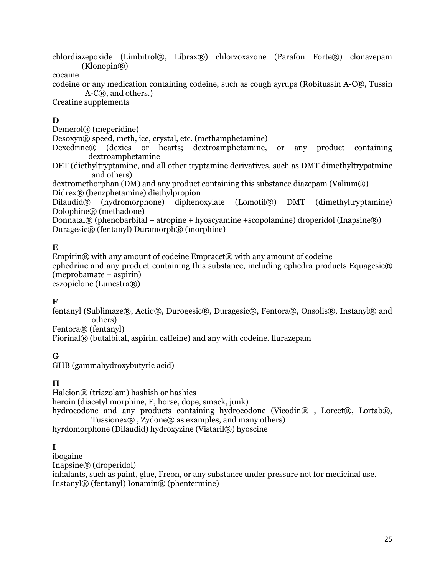chlordiazepoxide (Limbitrol®, Librax®) chlorzoxazone (Parafon Forte®) clonazepam  $(Klonopin(\mathbb{R}))$ 

cocaine

codeine or any medication containing codeine, such as cough syrups (Robitussin A-C®, Tussin A-C®, and others.)

Creatine supplements

### **D**

Demerol® (meperidine)

Desoxyn® speed, meth, ice, crystal, etc. (methamphetamine)

Dexedrine® (dexies or hearts; dextroamphetamine, or any product containing dextroamphetamine

DET (diethyltryptamine, and all other tryptamine derivatives, such as DMT dimethyltrypatmine and others)

dextromethorphan (DM) and any product containing this substance diazepam (Valium®) Didrex® (benzphetamine) diethylpropion

Dilaudid® (hydromorphone) diphenoxylate (Lomotil®) DMT (dimethyltryptamine) Dolophine® (methadone)

Donnatal $\mathcal{R}$  (phenobarbital + atropine + hyoscyamine + scopolamine) droperidol (Inapsine $\mathcal{R}$ )  $Duragesic@$  (fentanyl)  $Duramorph@$  (morphine)

### **E**

Empirin® with any amount of codeine Empracet® with any amount of codeine ephedrine and any product containing this substance, including ephedra products Equagesic $\circledR$ (meprobamate + aspirin) eszopiclone (Lunestra®)

### **F**

fentanyl (Sublimaze®, Actiq®, Durogesic®, Duragesic®, Fentora®, Onsolis®, Instanyl® and others)

Fentora® (fentanyl)

Fiorinal® (butalbital, aspirin, caffeine) and any with codeine. flurazepam

**G**

GHB (gammahydroxybutyric acid)

### **H**

Halcion® (triazolam) hashish or hashies heroin (diacetyl morphine, E, horse, dope, smack, junk) hydrocodone and any products containing hydrocodone (Vicodin®), Lorcet®, Lortab®, Tussionex $\overline{R}$ , Zydone $\overline{R}$  as examples, and many others) hyrdomorphone (Dilaudid) hydroxyzine (Vistaril®) hyoscine

### **I**

ibogaine Inapsine® (droperidol) inhalants, such as paint, glue, Freon, or any substance under pressure not for medicinal use. Instanyl® (fentanyl) Ionamin® (phentermine)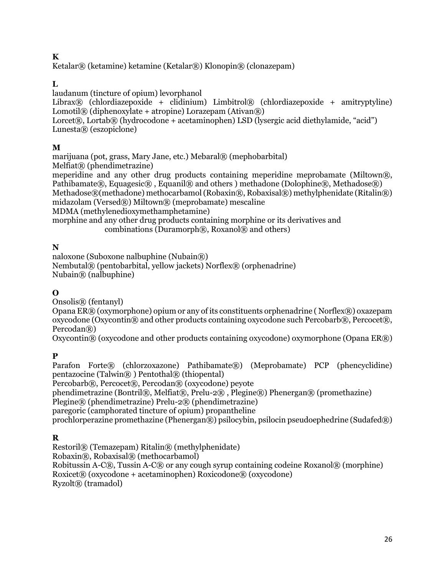### **K**

Ketalar® (ketamine) ketamine (Ketalar®) Klonopin® (clonazepam)

### **L**

laudanum (tincture of opium) levorphanol

Librax® (chlordiazepoxide + clidinium) Limbitrol® (chlordiazepoxide + amitryptyline) Lomotil $\mathbb{R}$  (diphenoxylate + atropine) Lorazepam (Ativan $\mathbb{R}$ )

Lorcet®, Lortab® (hydrocodone + acetaminophen) LSD (lysergic acid diethylamide, "acid") Lunesta® (eszopiclone)

### **M**

marijuana (pot, grass, Mary Jane, etc.) Mebaral® (mephobarbital) Melfiat® (phendimetrazine)

meperidine and any other drug products containing meperidine meprobamate (Miltown®, Pathibamate®, Equagesic®, Equanil® and others ) methadone (Dolophine®, Methadose®) Methadose®(methadone) methocarbamol (Robaxin®, Robaxisal®) methylphenidate (Ritalin®)

midazolam (Versed®) Miltown® (meprobamate) mescaline

MDMA (methylenedioxymethamphetamine)

morphine and any other drug products containing morphine or its derivatives and combinations (Duramorph®, Roxanol®) and others)

### **N**

naloxone (Suboxone nalbuphine (Nubain®) Nembutal® (pentobarbital, yellow jackets) Norflex® (orphenadrine) Nubain® (nalbuphine)

### **O**

Onsolis® (fentanyl)

Opana ER® (oxymorphone) opium or any of its constituents orphenadrine ( Norflex®) oxazepam oxycodone (Oxycontin® and other products containing oxycodone such Percobarb®, Percocet®, Percodan®)

Oxycontin® (oxycodone and other products containing oxycodone) oxymorphone (Opana  $ER$ <sup>®</sup>)

### **P**

Parafon Forte® (chlorzoxazone) Pathibamate®) (Meprobamate) PCP (phencyclidine) pentazocine (Talwin® ) Pentothal® (thiopental)

Percobarb®, Percocet®, Percodan® (oxycodone) peyote

phendimetrazine (Bontril®, Melfiat®, Prelu-2®), Plegine®) Phenergan® (promethazine)

Plegine® (phendimetrazine) Prelu-2® (phendimetrazine)

paregoric (camphorated tincture of opium) propantheline

prochlorperazine promethazine (Phenergan®) psilocybin, psilocin pseudoephedrine (Sudafed®)

### **R**

Restoril® (Temazepam) Ritalin® (methylphenidate) Robaxin®, Robaxisal® (methocarbamol) Robitussin A-C®, Tussin A-C® or any cough syrup containing codeine Roxanol® (morphine)  $Roxicet@ (oxycodone + acetaminophen) Roxicodone@ (oxycodone)$ Ryzolt® (tramadol)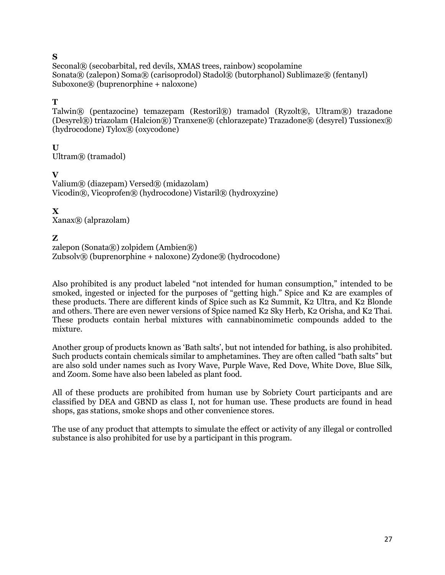### **S**

Seconal® (secobarbital, red devils, XMAS trees, rainbow) scopolamine Sonata® (zalepon) Soma® (carisoprodol) Stadol® (butorphanol) Sublimaze® (fentanyl) Suboxone® (buprenorphine + naloxone)

### **T**

Talwin® (pentazocine) temazepam (Restoril®) tramadol (Ryzolt®, Ultram®) trazadone  $(Desyrel@)$  triazolam  $(Halcion@)$  Tranxene $@$  (chlorazepate) Trazadone $@$  (desyrel) Tussionex $@$ (hydrocodone) Tylox® (oxycodone)

**U** Ultram® (tramadol)

### **V**

Valium® (diazepam) Versed® (midazolam) Vicodin®, Vicoprofen® (hydrocodone) Vistaril® (hydroxyzine)

### **X**

Xanax® (alprazolam)

### **Z**

zalepon (Sonata $(\mathbb{R})$  zolpidem (Ambien $(\mathbb{R})$ )  $Zubsolv@$  (buprenorphine + naloxone)  $Zvdone@$  (hydrocodone)

Also prohibited is any product labeled "not intended for human consumption," intended to be smoked, ingested or injected for the purposes of "getting high." Spice and K2 are examples of these products. There are different kinds of Spice such as K2 Summit, K2 Ultra, and K2 Blonde and others. There are even newer versions of Spice named K2 Sky Herb, K2 Orisha, and K2 Thai. These products contain herbal mixtures with cannabinomimetic compounds added to the mixture.

Another group of products known as 'Bath salts', but not intended for bathing, is also prohibited. Such products contain chemicals similar to amphetamines. They are often called "bath salts" but are also sold under names such as Ivory Wave, Purple Wave, Red Dove, White Dove, Blue Silk, and Zoom. Some have also been labeled as plant food.

All of these products are prohibited from human use by Sobriety Court participants and are classified by DEA and GBND as class I, not for human use. These products are found in head shops, gas stations, smoke shops and other convenience stores.

The use of any product that attempts to simulate the effect or activity of any illegal or controlled substance is also prohibited for use by a participant in this program.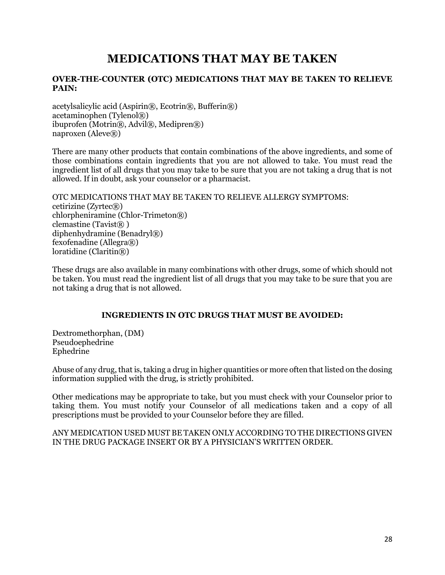# **MEDICATIONS THAT MAY BE TAKEN**

#### **OVER-THE-COUNTER (OTC) MEDICATIONS THAT MAY BE TAKEN TO RELIEVE PAIN:**

acetylsalicylic acid (Aspirin®, Ecotrin®, Bufferin®) acetaminophen (Tylenol®) ibuprofen (Motrin®, Advil®, Medipren®) naproxen ( $A$ leve $(\mathbb{R})$ )

There are many other products that contain combinations of the above ingredients, and some of those combinations contain ingredients that you are not allowed to take. You must read the ingredient list of all drugs that you may take to be sure that you are not taking a drug that is not allowed. If in doubt, ask your counselor or a pharmacist.

OTC MEDICATIONS THAT MAY BE TAKEN TO RELIEVE ALLERGY SYMPTOMS: cetirizine  $(Zvrtec(\mathbb{R}))$ chlorpheniramine (Chlor-Trimeton®) clemastine (Tavist<sub>®</sub>) diphenhydramine (Benadryl®) fexofenadine (Allegra®) loratidine (Claritin®)

These drugs are also available in many combinations with other drugs, some of which should not be taken. You must read the ingredient list of all drugs that you may take to be sure that you are not taking a drug that is not allowed.

#### **INGREDIENTS IN OTC DRUGS THAT MUST BE AVOIDED:**

Dextromethorphan, (DM) Pseudoephedrine Ephedrine

Abuse of any drug, that is, taking a drug in higher quantities or more often that listed on the dosing information supplied with the drug, is strictly prohibited.

Other medications may be appropriate to take, but you must check with your Counselor prior to taking them. You must notify your Counselor of all medications taken and a copy of all prescriptions must be provided to your Counselor before they are filled.

ANY MEDICATION USED MUST BE TAKEN ONLY ACCORDING TO THE DIRECTIONS GIVEN IN THE DRUG PACKAGE INSERT OR BY A PHYSICIAN'S WRITTEN ORDER.